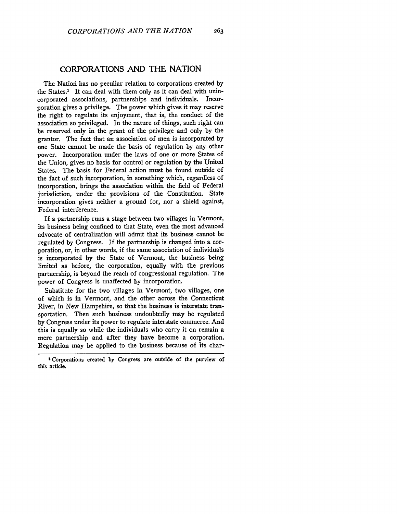## CORPORATIONS **AND** THE **NATION**

The Natiori has no peculiar relation to corporations created **by** the States.' It can deal with them only as it can deal with unincorporated associations, partnerships and individuals. Incorporation gives a privilege. The power which gives it may reserve the right to regulate its enjoyment, that is, the conduct of the association so privileged. In the nature of things, such right can be reserved only in the grant of the privilege and only **by** the grantor. The fact that an association of men is incorporated **by** one State cannot be made the basis of regulation **by** any other power. Incorporation under the laws of one or more States of the Union, gives no basis for control or regulation **by** the United States. The basis for Federal action must be found outside of the fact uf such incorporation, in something which, regardless of incorporation, brings the association within the field of Federal jurisdiction, under the provisions of the Constitution. State incorporation gives neither a ground for, nor a shield against, Federal interference.

If a partnership runs a stage between two villages in Vermont, its business being confined to that State, even the most advanced advocate of centralization will admit that its business cannot be regulated **by** Congress. If the partnership is changed into a corporation, or, in other words, if the same association of individuals is incorporated by the State of Vermont, the business being limited as before, the corporation, equally with the previous partnership, is beyond the reach of congressional regulation. The power of Congress is unaffected by incorporation.

Substitute for the two villages in Vermont, two villages, one of which is in Vermont, and the other across the Connecticut River, in New Hampshire, so that the business is interstate transportation. Then such business undoubtedly may be regulated by Congress under its power to regulate interstate commerce. And this is equally so while the individuals who carry it on remain a mere partnership and after they have become a corporation. Regulation may be applied to the business because of 'its char-

**<sup>&#</sup>x27;** Corporations created by Congress are outside of the purview of this article.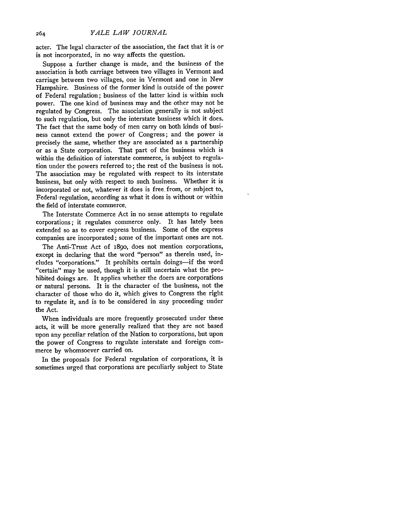acter. The legal character of the association, the fact that it is or is not incorporated, in no way affects the question.

Suppose a further change is made, and the business of the association is both carriage between two villages in Vermont and carriage between two villages, one in Vermont and one in New Hampshire. Business of the former kind is outside of the power of Federal regulation; business of the latter kind is within such power. The one kind of business may and the other may not be regulated **by** Congress. The association generally is not subject to such regulation, but only the interstate business which it does. The fact that the same body of men carry on both kinds of business cannot extend the power of Congress; and the power is precisely the same, whether they are associated as a partnership or as a State corporation. That part of the business which is within the definition of interstate commerce, is subject to regulation under the powers referred to; the rest of the business is not. The association may be regulated with respect to its interstate business, but only with respect to such business. Whether it is incorporated or not, whatever it does is free from, or subject to, Federal regulation, according as what it does is without or within the field of interstate commerce.

The Interstate Commerce Act in no sense attempts to regulate corporations; it regulates commerce only. It has lately been extended so as to cover express business. Some of the express companies are incorporated; some of the important ones are not.

The Anti-Trust Act of 189o, does not mention corporations, except in declaring that the word "person" as therein used, includes "corporations." It prohibits certain doings-if the word "certain" may be used, though it is still uncertain what the prohibited doings are. It applies whether the doers are corporations or natural persons. It is the character of the business, not the character of those who do it, which gives to Congress the right to regulate it, and is to be considered in any proceeding under the Act.

When individuals are more frequently prosecuted under these acts, it will be more generally realized that they are not based upon any peculiar relation of the Nation to corporations, but upon the power of Congress to regulate interstate and foreign commerce **by** whomsoever carried on.

In the proposals for Federal regulation of corporations, it is sometimes urged that corporations are peculiarly subject to State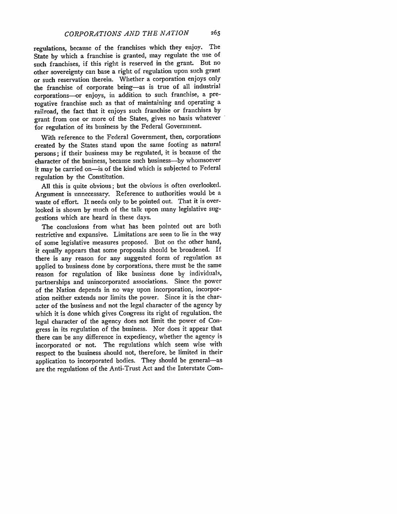regulations, because of the franchises which they enjoy. The State **by** which a franchise is granted, may regulate the use of such franchises, if this right is reserved in the grant. But no other sovereignty can base a right of regulation upon such grant or such reservation therein. Whether a corporation enjoys only the franchise of corporate being-as is true of all industrial corporations-or enjoys, in addition to such franchise, a prerogative franchise such as that of maintaining and operating a railroad, the fact that it enjoys such franchise or franchises **by** grant from one or more of the States, gives no basis whatever for regulation of its business **by** the Federal Government.

With reference to the Federal Government, then, corporations created **by** the States stand upon the same footing as natural persons; if their business may be regulated, it is because of the character of the business, because such business-by whomsoever it may be carried on- is of the kind which is subjected to Federal regulation **by** the Constitution.

**All** this is quite obvious; but the obvious is often overlooked. Argument is unnecessary. Reference to authorities would be a waste of effort. It needs only to be pointed out. That it is overlooked is shown **by** much of the talk upon many legislative suggestions which are heard in these days.

The conclusions from what has been pointed out are both restrictive and expansive. Limitations are seen to lie in the way of some legislative measures proposed. But on the other hand, it equally appears that some proposals should be broadened. If there is any reason for any suggested form of regulation as applied to business done **by** corporations, there must be the same reason for regulation of like business done **by** individuals, partnerships and unincorporated associations. Since the power of the Nation depends in no way upon incorporation, incorporation neither extends nor limits the power. Since it is the character of the business and not the legal character of the agency **by** which it is done which gives Congress its right of regulation, the legal character of the agency does not limit the power of Congress in its regulation of the business. Nor does it appear that there can be any difference in expediency, whether the agency is incorporated or not. The regulations which seem wise with respect to the business should not, therefore, be limited in their application to incorporated bodies. They should be general-as are the regulations of the Anti-Trust Act and the Interstate Com